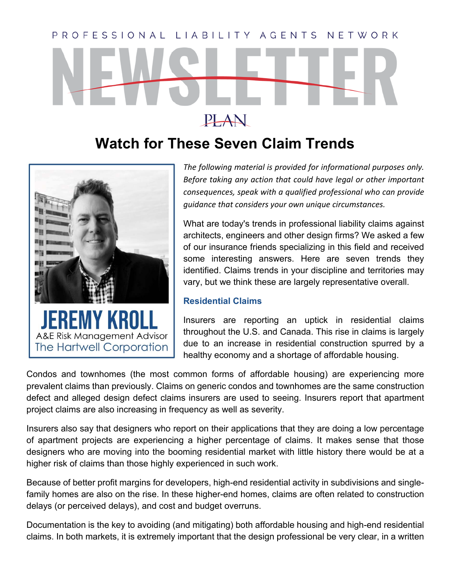# PROFESSIONAL LIABILITY AGENTS NETWORK PLAN

## **Watch for These Seven Claim Trends**



*The following material is provided for informational purposes only. Before taking any action that could have legal or other important consequences, speak with a qualified professional who can provide guidance that considers your own unique circumstances.*

What are today's trends in professional liability claims against architects, engineers and other design firms? We asked a few of our insurance friends specializing in this field and received some interesting answers. Here are seven trends they identified. Claims trends in your discipline and territories may vary, but we think these are largely representative overall.

#### **Residential Claims**

Insurers are reporting an uptick in residential claims throughout the U.S. and Canada. This rise in claims is largely due to an increase in residential construction spurred by a healthy economy and a shortage of affordable housing.

Condos and townhomes (the most common forms of affordable housing) are experiencing more prevalent claims than previously. Claims on generic condos and townhomes are the same construction defect and alleged design defect claims insurers are used to seeing. Insurers report that apartment project claims are also increasing in frequency as well as severity.

Insurers also say that designers who report on their applications that they are doing a low percentage of apartment projects are experiencing a higher percentage of claims. It makes sense that those designers who are moving into the booming residential market with little history there would be at a higher risk of claims than those highly experienced in such work.

Because of better profit margins for developers, high-end residential activity in subdivisions and singlefamily homes are also on the rise. In these higher-end homes, claims are often related to construction delays (or perceived delays), and cost and budget overruns.

Documentation is the key to avoiding (and mitigating) both affordable housing and high-end residential claims. In both markets, it is extremely important that the design professional be very clear, in a written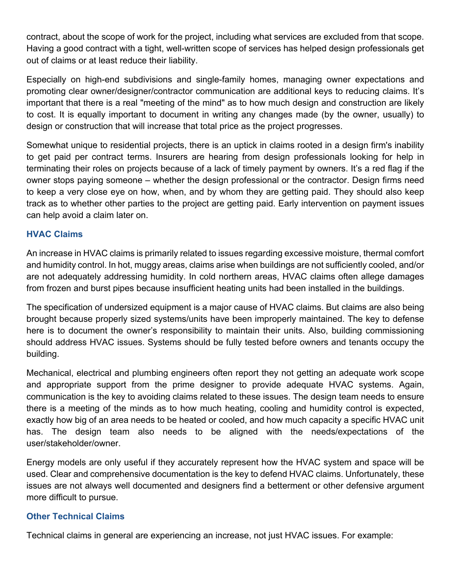contract, about the scope of work for the project, including what services are excluded from that scope. Having a good contract with a tight, well-written scope of services has helped design professionals get out of claims or at least reduce their liability.

Especially on high-end subdivisions and single-family homes, managing owner expectations and promoting clear owner/designer/contractor communication are additional keys to reducing claims. It's important that there is a real "meeting of the mind" as to how much design and construction are likely to cost. It is equally important to document in writing any changes made (by the owner, usually) to design or construction that will increase that total price as the project progresses.

Somewhat unique to residential projects, there is an uptick in claims rooted in a design firm's inability to get paid per contract terms. Insurers are hearing from design professionals looking for help in terminating their roles on projects because of a lack of timely payment by owners. It's a red flag if the owner stops paying someone – whether the design professional or the contractor. Design firms need to keep a very close eye on how, when, and by whom they are getting paid. They should also keep track as to whether other parties to the project are getting paid. Early intervention on payment issues can help avoid a claim later on.

#### **HVAC Claims**

An increase in HVAC claims is primarily related to issues regarding excessive moisture, thermal comfort and humidity control. In hot, muggy areas, claims arise when buildings are not sufficiently cooled, and/or are not adequately addressing humidity. In cold northern areas, HVAC claims often allege damages from frozen and burst pipes because insufficient heating units had been installed in the buildings.

The specification of undersized equipment is a major cause of HVAC claims. But claims are also being brought because properly sized systems/units have been improperly maintained. The key to defense here is to document the owner's responsibility to maintain their units. Also, building commissioning should address HVAC issues. Systems should be fully tested before owners and tenants occupy the building.

Mechanical, electrical and plumbing engineers often report they not getting an adequate work scope and appropriate support from the prime designer to provide adequate HVAC systems. Again, communication is the key to avoiding claims related to these issues. The design team needs to ensure there is a meeting of the minds as to how much heating, cooling and humidity control is expected, exactly how big of an area needs to be heated or cooled, and how much capacity a specific HVAC unit has. The design team also needs to be aligned with the needs/expectations of the user/stakeholder/owner.

Energy models are only useful if they accurately represent how the HVAC system and space will be used. Clear and comprehensive documentation is the key to defend HVAC claims. Unfortunately, these issues are not always well documented and designers find a betterment or other defensive argument more difficult to pursue.

#### **Other Technical Claims**

Technical claims in general are experiencing an increase, not just HVAC issues. For example: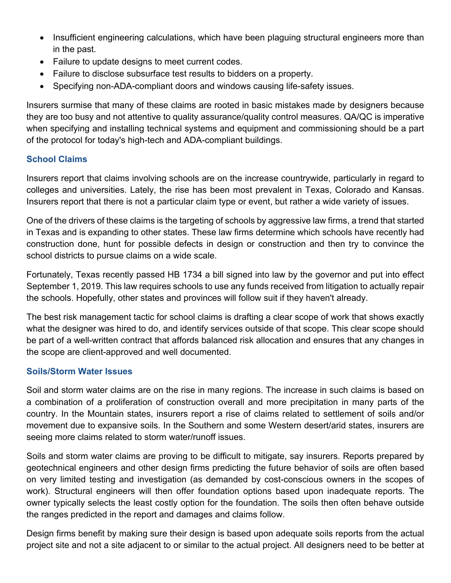- Insufficient engineering calculations, which have been plaguing structural engineers more than in the past.
- Failure to update designs to meet current codes.
- Failure to disclose subsurface test results to bidders on a property.
- Specifying non-ADA-compliant doors and windows causing life-safety issues.

Insurers surmise that many of these claims are rooted in basic mistakes made by designers because they are too busy and not attentive to quality assurance/quality control measures. QA/QC is imperative when specifying and installing technical systems and equipment and commissioning should be a part of the protocol for today's high-tech and ADA-compliant buildings.

#### **School Claims**

Insurers report that claims involving schools are on the increase countrywide, particularly in regard to colleges and universities. Lately, the rise has been most prevalent in Texas, Colorado and Kansas. Insurers report that there is not a particular claim type or event, but rather a wide variety of issues.

One of the drivers of these claims is the targeting of schools by aggressive law firms, a trend that started in Texas and is expanding to other states. These law firms determine which schools have recently had construction done, hunt for possible defects in design or construction and then try to convince the school districts to pursue claims on a wide scale.

Fortunately, Texas recently passed HB 1734 a bill signed into law by the governor and put into effect September 1, 2019. This law requires schools to use any funds received from litigation to actually repair the schools. Hopefully, other states and provinces will follow suit if they haven't already.

The best risk management tactic for school claims is drafting a clear scope of work that shows exactly what the designer was hired to do, and identify services outside of that scope. This clear scope should be part of a well-written contract that affords balanced risk allocation and ensures that any changes in the scope are client-approved and well documented.

#### **Soils/Storm Water Issues**

Soil and storm water claims are on the rise in many regions. The increase in such claims is based on a combination of a proliferation of construction overall and more precipitation in many parts of the country. In the Mountain states, insurers report a rise of claims related to settlement of soils and/or movement due to expansive soils. In the Southern and some Western desert/arid states, insurers are seeing more claims related to storm water/runoff issues.

Soils and storm water claims are proving to be difficult to mitigate, say insurers. Reports prepared by geotechnical engineers and other design firms predicting the future behavior of soils are often based on very limited testing and investigation (as demanded by cost-conscious owners in the scopes of work). Structural engineers will then offer foundation options based upon inadequate reports. The owner typically selects the least costly option for the foundation. The soils then often behave outside the ranges predicted in the report and damages and claims follow.

Design firms benefit by making sure their design is based upon adequate soils reports from the actual project site and not a site adjacent to or similar to the actual project. All designers need to be better at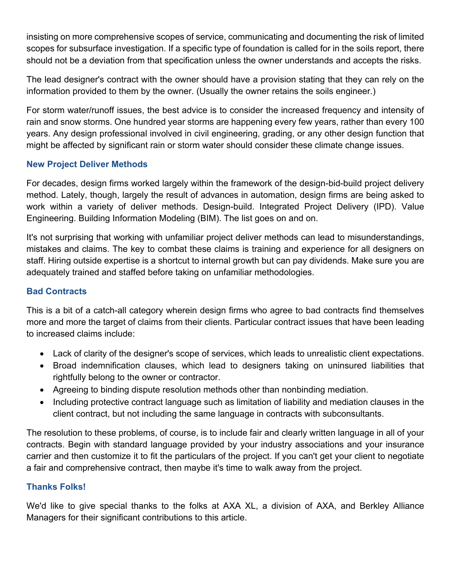insisting on more comprehensive scopes of service, communicating and documenting the risk of limited scopes for subsurface investigation. If a specific type of foundation is called for in the soils report, there should not be a deviation from that specification unless the owner understands and accepts the risks.

The lead designer's contract with the owner should have a provision stating that they can rely on the information provided to them by the owner. (Usually the owner retains the soils engineer.)

For storm water/runoff issues, the best advice is to consider the increased frequency and intensity of rain and snow storms. One hundred year storms are happening every few years, rather than every 100 years. Any design professional involved in civil engineering, grading, or any other design function that might be affected by significant rain or storm water should consider these climate change issues.

### **New Project Deliver Methods**

For decades, design firms worked largely within the framework of the design-bid-build project delivery method. Lately, though, largely the result of advances in automation, design firms are being asked to work within a variety of deliver methods. Design-build. Integrated Project Delivery (IPD). Value Engineering. Building Information Modeling (BIM). The list goes on and on.

It's not surprising that working with unfamiliar project deliver methods can lead to misunderstandings, mistakes and claims. The key to combat these claims is training and experience for all designers on staff. Hiring outside expertise is a shortcut to internal growth but can pay dividends. Make sure you are adequately trained and staffed before taking on unfamiliar methodologies.

### **Bad Contracts**

This is a bit of a catch-all category wherein design firms who agree to bad contracts find themselves more and more the target of claims from their clients. Particular contract issues that have been leading to increased claims include:

- Lack of clarity of the designer's scope of services, which leads to unrealistic client expectations.
- Broad indemnification clauses, which lead to designers taking on uninsured liabilities that rightfully belong to the owner or contractor.
- Agreeing to binding dispute resolution methods other than nonbinding mediation.
- Including protective contract language such as limitation of liability and mediation clauses in the client contract, but not including the same language in contracts with subconsultants.

The resolution to these problems, of course, is to include fair and clearly written language in all of your contracts. Begin with standard language provided by your industry associations and your insurance carrier and then customize it to fit the particulars of the project. If you can't get your client to negotiate a fair and comprehensive contract, then maybe it's time to walk away from the project.

#### **Thanks Folks!**

We'd like to give special thanks to the folks at AXA XL, a division of AXA, and Berkley Alliance Managers for their significant contributions to this article.